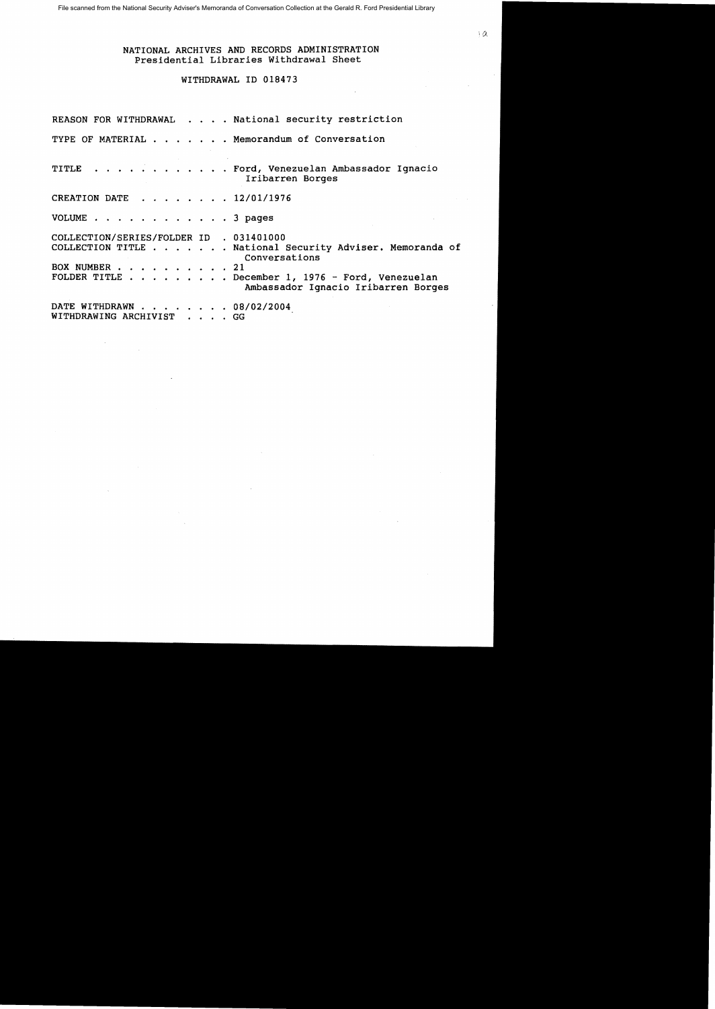# WITHDRAWAL ID 018473

|                                                          | REASON FOR WITHDRAWAL National security restriction                                                                                                                  |
|----------------------------------------------------------|----------------------------------------------------------------------------------------------------------------------------------------------------------------------|
| TYPE OF MATERIAL Memorandum of Conversation              |                                                                                                                                                                      |
|                                                          | TITLE Ford, Venezuelan Ambassador Ignacio<br>Iribarren Borges                                                                                                        |
| CREATION DATE 12/01/1976                                 |                                                                                                                                                                      |
| VOLUME 3 pages                                           |                                                                                                                                                                      |
| COLLECTION/SERIES/FOLDER ID . 031401000<br>BOX NUMBER 21 | COLLECTION TITLE National Security Adviser. Memoranda of<br>Conversations<br>FOLDER TITLE December 1, 1976 - Ford, Venezuelan<br>Ambassador Ignacio Iribarren Borges |
| DATE WITHDRAWN 08/02/2004<br>WITHDRAWING ARCHIVIST GG    |                                                                                                                                                                      |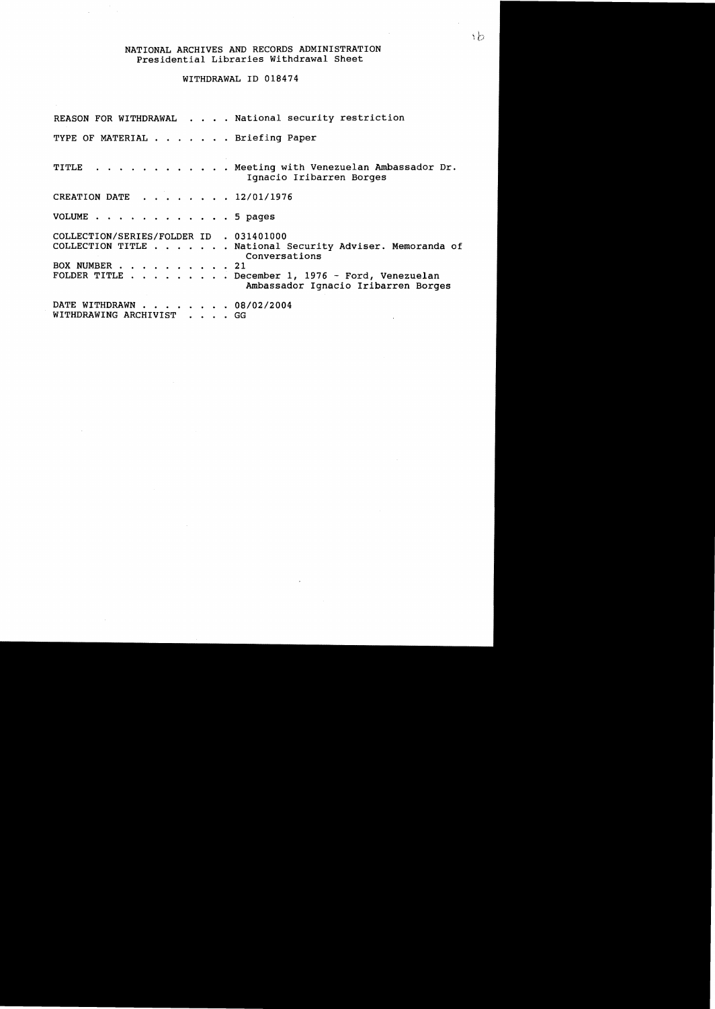### WITHDRAWAL ID 018474

REASON FOR WITHDRAWAL . . . . National security restriction TYPE OF MATERIAL . . . . . . Briefing Paper TITLE . . . . . . . . . . Meeting with Venezuelan Ambassador Dr. Ignacio Iribarren Borges CREATION DATE *· 12/01/1976*  VOLUME . . . . . . . . . . . . 5 pages COLLECTION/SERIES/FOLDER 1D . 031401000 COLLECTION TITLE . . . . . . National Security Adviser. Memoranda of Conversations BOX NUMBER . . . . . . . . . 21 FOLDER TITLE . . . . . . . . December 1, 1976 - Ford, Venezuelan Ambassador Ignacio Iribarren Borges DATE WITHDRAWN . . . . . *· 08/02/2004*  WITHDRAWING ARCHIVIST . . . . GG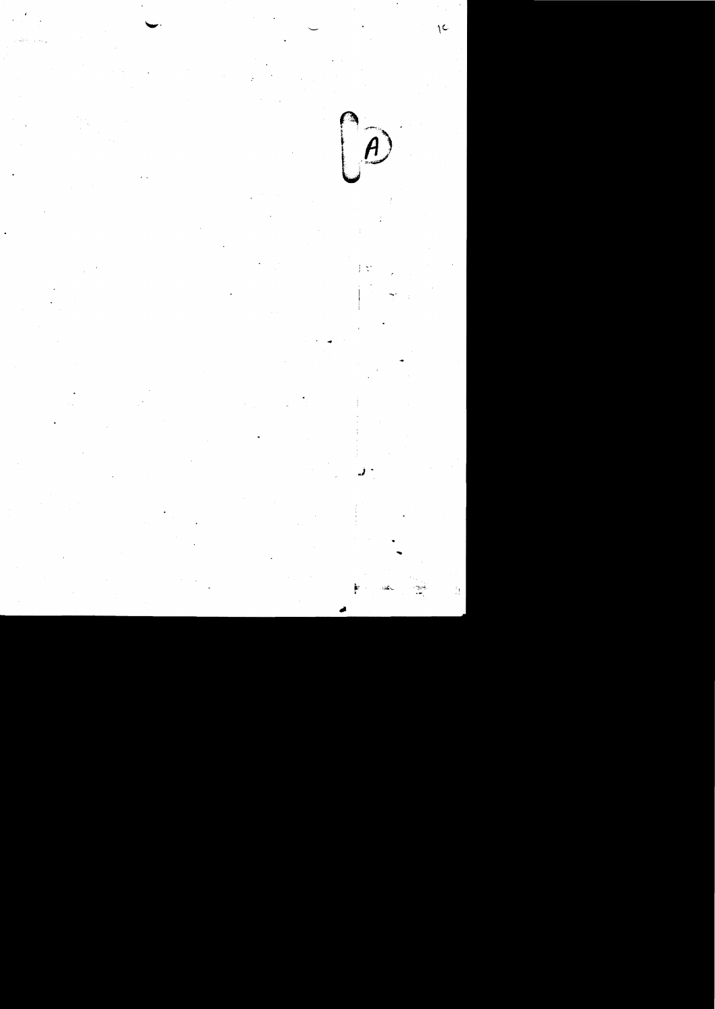$\begin{pmatrix} 1 & 1 \\ 0 & 1 \end{pmatrix}$ 

 $\mathbb{C}$ 

 $\sqrt{2}$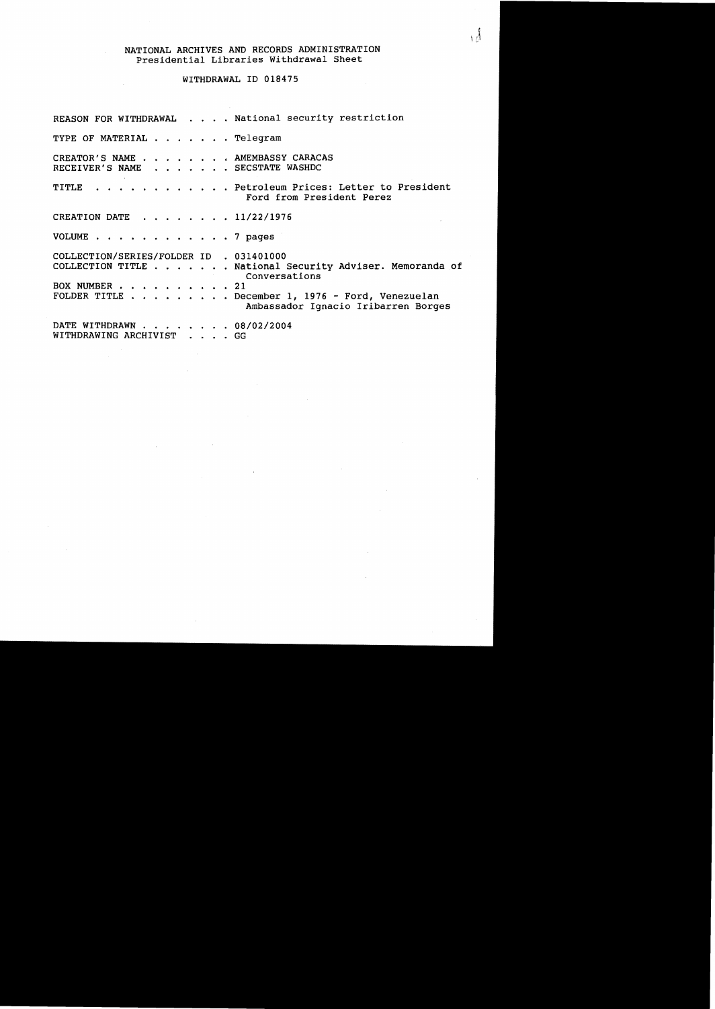#### WITHDRAWAL ID 018475

REASON FOR WITHDRAWAL . . . . National security restriction TYPE OF MATERIAL . . . . . . Telegram CREATOR'S NAME . . . . . . . AMEMBASSY CARACAS RECEIVER'S NAME . . . . . . SECSTATE WASHDC TITLE . . . . . . . . . . . Petroleum Prices: Letter to President Ford from President Perez CREATION DATE  $\ldots$ , . . . . 11/22/1976 VOLUME . . . . . . . . . . . 7 pages COLLECTION/SERIES/FOLDER ID . 031401000 COLLECTION TITLE . . . . . . National Security Adviser. Memoranda of Conversations BOX NUMBER . . . . . . . . . 21 FOLDER TITLE  $\ldots$ ,  $\ldots$ ,  $\ldots$  December 1, 1976 - Ford, Venezuelan Ambassador Ignacio Iribarren Borges DATE WITHDRAWN . . . . . . . 08/02/2004 WITHDRAWING ARCHIVIST . . . . GG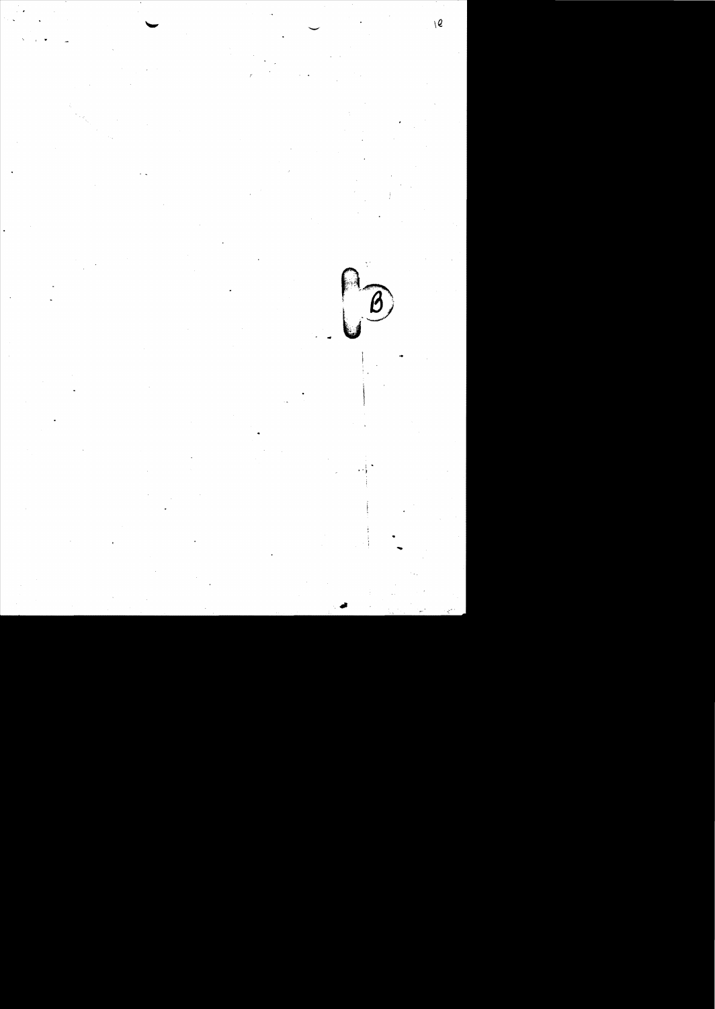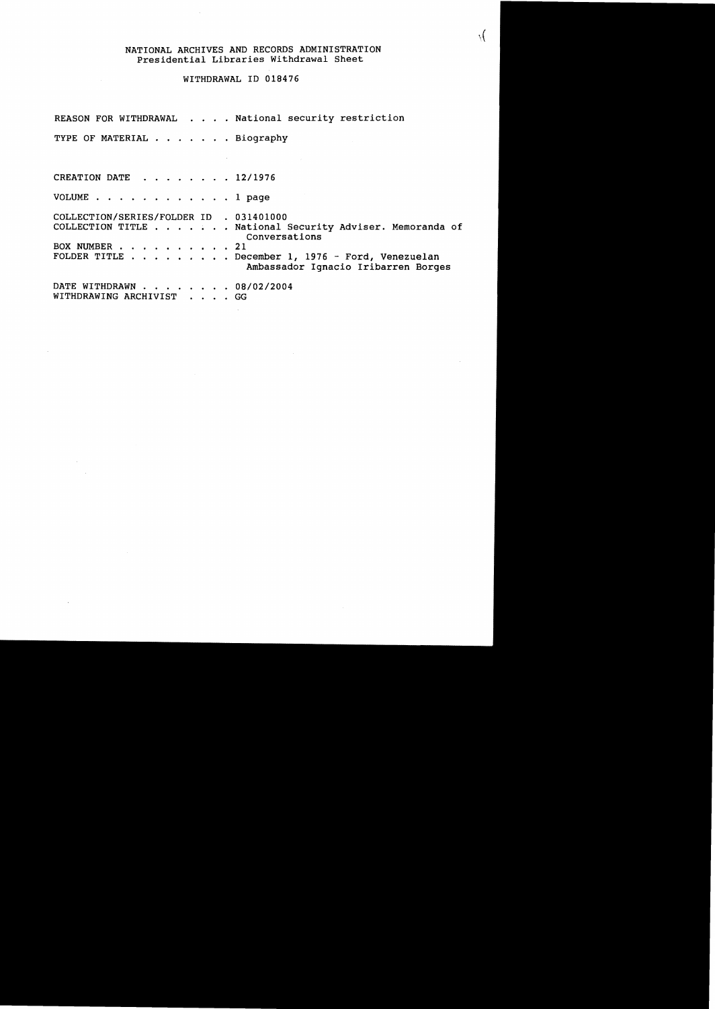### WITHDRAWAL ID 018476

REASON FOR WITHDRAWAL . . . . National security restriction

TYPE OF MATERIAL . . . . . . Biography

CREATION DATE  $\cdot \cdot \cdot \cdot \cdot 12/1976$ 

VOLUME . . . . . . . . . . . . 1 page

COLLECTION/SERIES/FOLDER ID . 031401000 COLLECTION TITLE ....•.• National Security Adviser. Memoranda of Conversations BOX NUMBER . . . . 21 FOLDER TITLE . . . . . . . . December 1, 1976 - Ford, Venezuelan Ambassador Ignacio Iribarren Borges DATE WITHDRAWN . . . . . . . 08/02/2004

WITHDRAWING ARCHIVIST . . . . GG

 $\mathcal{N}$